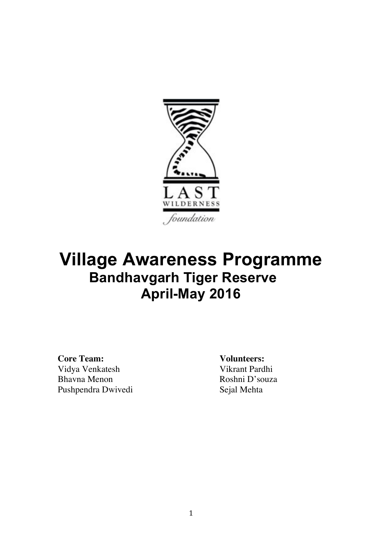

# **Village Awareness Programme Bandhavgarh Tiger Reserve April-May 2016**

**Core Team: Volunteers:** Vidya Venkatesh Vikrant Pardhi Bhavna Menon Roshni D'souza Pushpendra Dwivedi Sejal Mehta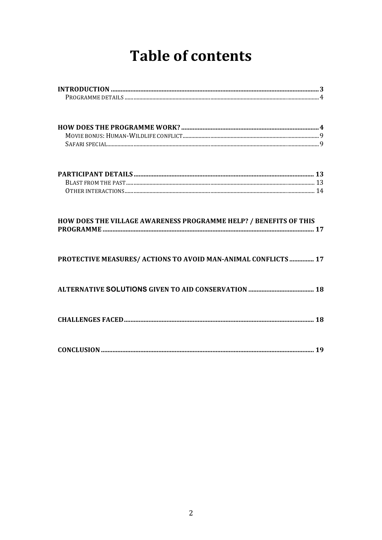# **Table of contents**

| HOW DOES THE VILLAGE AWARENESS PROGRAMME HELP? / BENEFITS OF THIS |  |
|-------------------------------------------------------------------|--|
| PROTECTIVE MEASURES/ ACTIONS TO AVOID MAN-ANIMAL CONFLICTS  17    |  |
|                                                                   |  |
|                                                                   |  |
|                                                                   |  |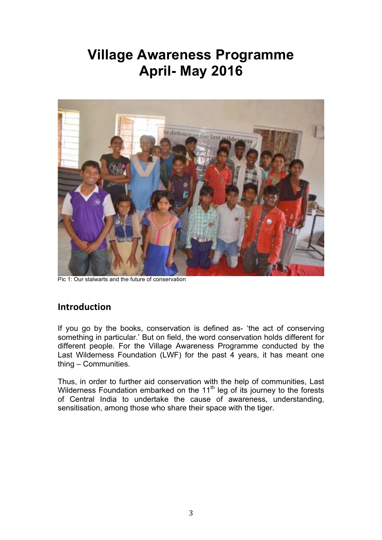### **Village Awareness Programme April- May 2016**



Pic 1: Our stalwarts and the future of conservation

#### **Introduction**

If you go by the books, conservation is defined as- 'the act of conserving something in particular.' But on field, the word conservation holds different for different people. For the Village Awareness Programme conducted by the Last Wilderness Foundation (LWF) for the past  $\overline{4}$  years, it has meant one thing – Communities.

Thus, in order to further aid conservation with the help of communities, Last Wilderness Foundation embarked on the  $11<sup>th</sup>$  leg of its journey to the forests of Central India to undertake the cause of awareness, understanding, sensitisation, among those who share their space with the tiger.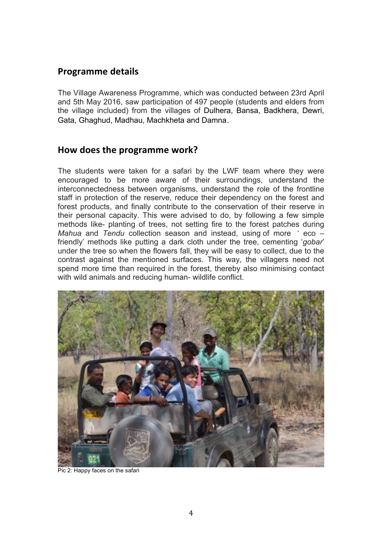#### **Programme details**

The Village Awareness Programme, which was conducted between 23rd April and 5th May 2016, saw participation of 497 people (students and elders from the village included) from the villages of Dulhera, Bansa, Badkhera, Dewri, Gata, Ghaghud, Madhau, Machkheta and Damna.

#### **2.3 How does the programme work?**

The students were taken for a safari by the LWF team where they were encouraged to be more aware of their surroundings, understand the interconnectedness between organisms, understand the role of the frontline staff in protection of the reserve, reduce their dependency on the forest and forest products, and finally contribute to the conservation of their reserve in their personal capacity. This were advised to do, by following a few simple methods like- planting of trees, not setting fire to the forest patches during *Mahua* and *Tendu* collection season and instead, using of more ' eco – friendly' methods like putting a dark cloth under the tree, cementing '*gobar*' under the tree so when the flowers fall, they will be easy to collect, due to the contrast against the mentioned surfaces. This way, the villagers need not spend more time than required in the forest, thereby also minimising contact with wild animals and reducing human- wildlife conflict.



Pic 2: Happy faces on the safari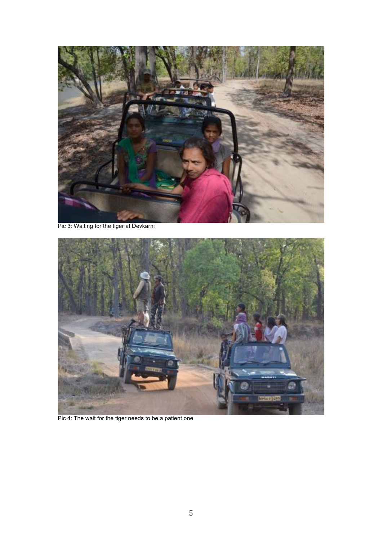

Pic 3: Waiting for the tiger at Devkarni



Pic 4: The wait for the tiger needs to be a patient one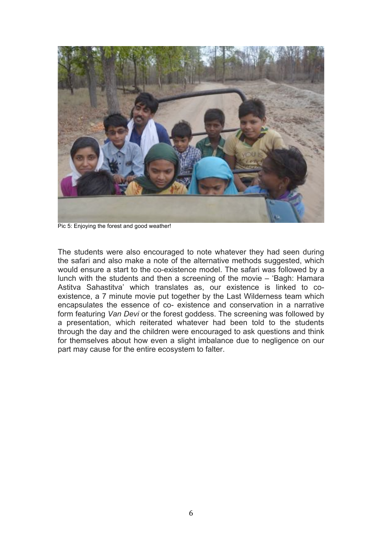

Pic 5: Enjoying the forest and good weather!

The students were also encouraged to note whatever they had seen during the safari and also make a note of the alternative methods suggested, which would ensure a start to the co-existence model. The safari was followed by a lunch with the students and then a screening of the movie – 'Bagh: Hamara Astitva Sahastitva' which translates as, our existence is linked to coexistence, a 7 minute movie put together by the Last Wilderness team which encapsulates the essence of co- existence and conservation in a narrative form featuring *Van Devi* or the forest goddess. The screening was followed by a presentation, which reiterated whatever had been told to the students through the day and the children were encouraged to ask questions and think for themselves about how even a slight imbalance due to negligence on our part may cause for the entire ecosystem to falter.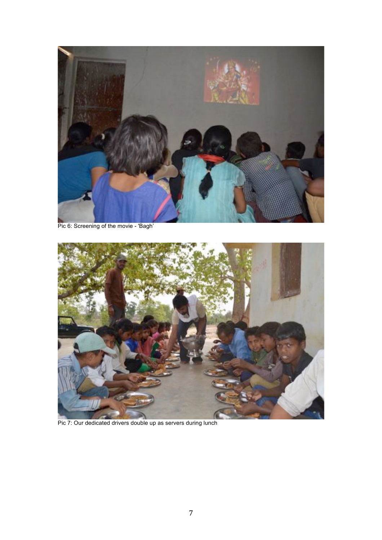

Pic 6: Screening of the movie - 'Bagh'



Pic 7: Our dedicated drivers double up as servers during lunch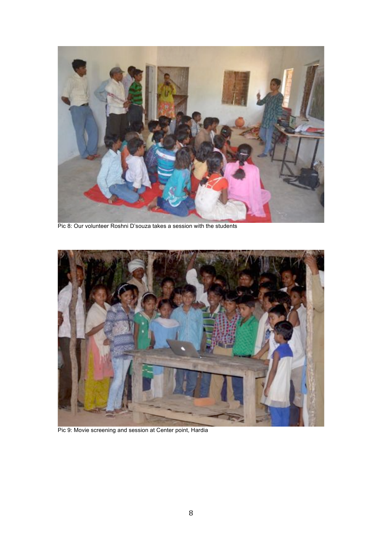

Pic 8: Our volunteer Roshni D'souza takes a session with the students



Pic 9: Movie screening and session at Center point, Hardia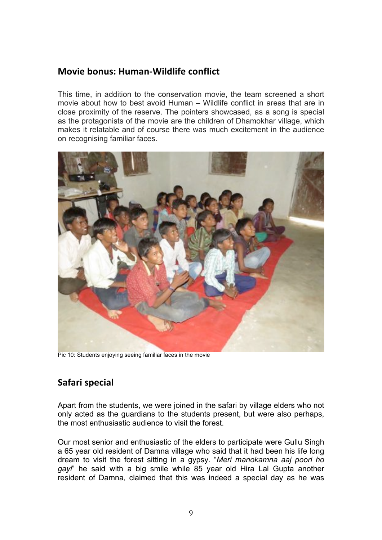#### **Movie bonus: Human-Wildlife conflict**

This time, in addition to the conservation movie, the team screened a short movie about how to best avoid Human – Wildlife conflict in areas that are in close proximity of the reserve. The pointers showcased, as a song is special as the protagonists of the movie are the children of Dhamokhar village, which makes it relatable and of course there was much excitement in the audience on recognising familiar faces.



Pic 10: Students enjoying seeing familiar faces in the movie

#### **Safari special**

Apart from the students, we were joined in the safari by village elders who not only acted as the guardians to the students present, but were also perhaps, the most enthusiastic audience to visit the forest.

Our most senior and enthusiastic of the elders to participate were Gullu Singh a 65 year old resident of Damna village who said that it had been his life long dream to visit the forest sitting in a gypsy. "*Meri manokamna aaj poori ho gayi*" he said with a big smile while 85 year old Hira Lal Gupta another resident of Damna, claimed that this was indeed a special day as he was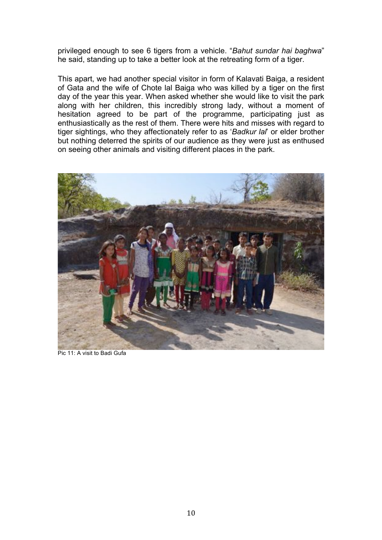privileged enough to see 6 tigers from a vehicle. "*Bahut sundar hai baghwa*" he said, standing up to take a better look at the retreating form of a tiger.

This apart, we had another special visitor in form of Kalavati Baiga, a resident of Gata and the wife of Chote lal Baiga who was killed by a tiger on the first day of the year this year. When asked whether she would like to visit the park along with her children, this incredibly strong lady, without a moment of hesitation agreed to be part of the programme, participating just as enthusiastically as the rest of them. There were hits and misses with regard to tiger sightings, who they affectionately refer to as '*Badkur lal*' or elder brother but nothing deterred the spirits of our audience as they were just as enthused on seeing other animals and visiting different places in the park.



Pic 11: A visit to Badi Gufa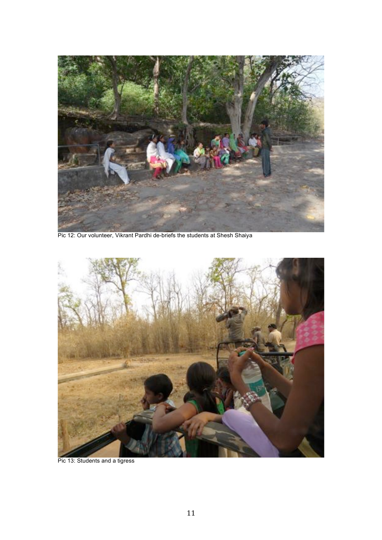

Pic 12: Our volunteer, Vikrant Pardhi de-briefs the students at Shesh Shaiya



Pic 13: Students and a tigress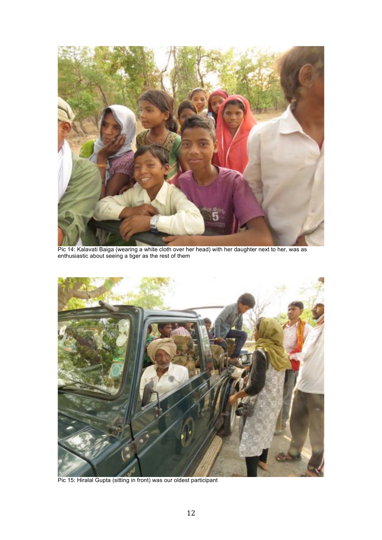

Pic 14: Kalavati Baiga (wearing a white cloth over her head) with her daughter next to her, was as enthusiastic about seeing a tiger as the rest of them



Pic 15: Hiralal Gupta (sitting in front) was our oldest participant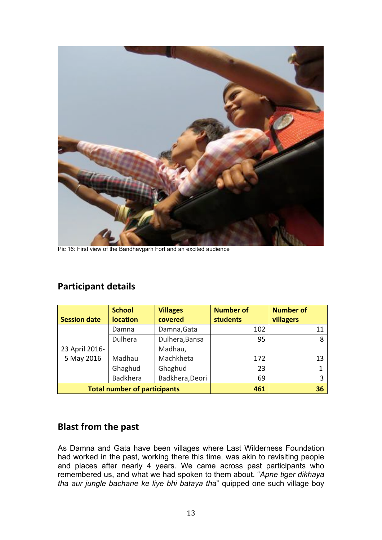

Pic 16: First view of the Bandhavgarh Fort and an excited audience

|                                     | <b>School</b>   | <b>Villages</b> | <b>Number of</b> | <b>Number of</b> |
|-------------------------------------|-----------------|-----------------|------------------|------------------|
| <b>Session date</b>                 | <b>location</b> | covered         | students         | villagers        |
|                                     | Damna           | Damna, Gata     | 102              | 11               |
|                                     | Dulhera         | Dulhera, Bansa  | 95               | 8                |
| 23 April 2016-                      |                 | Madhau,         |                  |                  |
| 5 May 2016                          | Madhau          | Machkheta       | 172              | 13               |
|                                     | Ghaghud         | Ghaghud         | 23               |                  |
|                                     | <b>Badkhera</b> | Badkhera, Deori | 69               | 3                |
| <b>Total number of participants</b> |                 | 461             | 36               |                  |

#### **Participant details**

#### **Blast from the past**

As Damna and Gata have been villages where Last Wilderness Foundation had worked in the past, working there this time, was akin to revisiting people and places after nearly 4 years. We came across past participants who remembered us, and what we had spoken to them about. "Apne tiger dikhaya tha aur jungle bachane ke liye bhi bataya tha" quipped one such village boy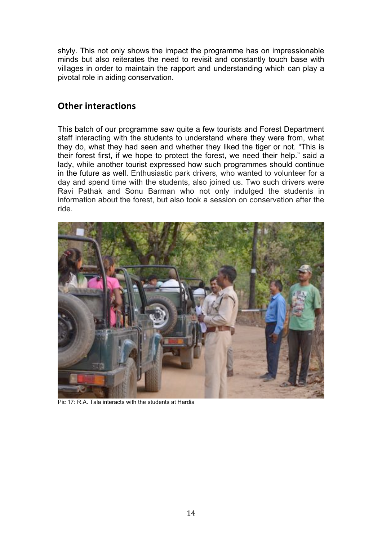shyly. This not only shows the impact the programme has on impressionable minds but also reiterates the need to revisit and constantly touch base with villages in order to maintain the rapport and understanding which can play a pivotal role in aiding conservation.

#### **Other interactions**

This batch of our programme saw quite a few tourists and Forest Department staff interacting with the students to understand where they were from, what they do, what they had seen and whether they liked the tiger or not. "This is their forest first, if we hope to protect the forest, we need their help." said a lady, while another tourist expressed how such programmes should continue in the future as well. Enthusiastic park drivers, who wanted to volunteer for a day and spend time with the students, also joined us. Two such drivers were Ravi Pathak and Sonu Barman who not only indulged the students in information about the forest, but also took a session on conservation after the ride.



Pic 17: R.A. Tala interacts with the students at Hardia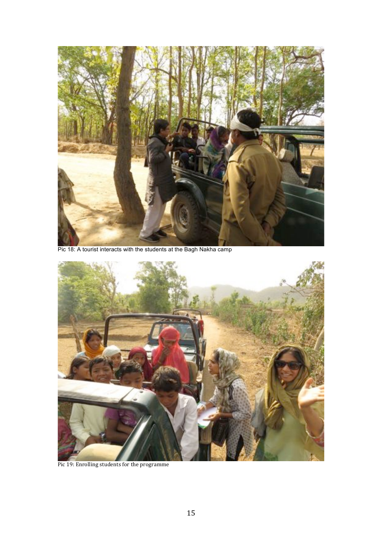

Pic 18: A tourist interacts with the students at the Bagh Nakha camp



Pic 19: Enrolling students for the programme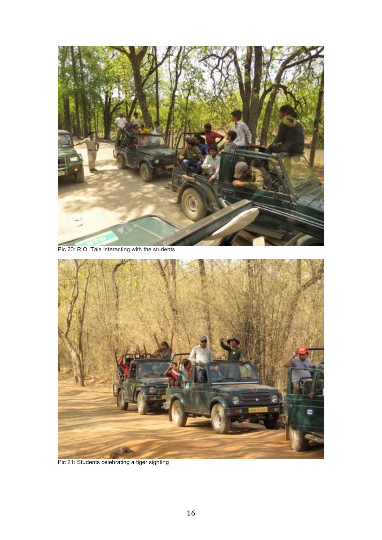

Pic 20: R.O. Tala interacting with the students



Pic 21: Students celebrating a tiger sighting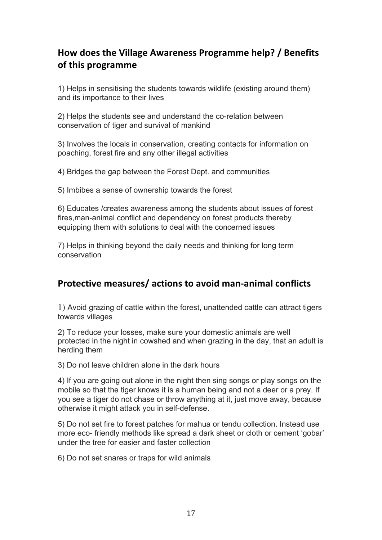### **How does the Village Awareness Programme help? / Benefits of this programme**

1) Helps in sensitising the students towards wildlife (existing around them) and its importance to their lives

2) Helps the students see and understand the co-relation between conservation of tiger and survival of mankind

3) Involves the locals in conservation, creating contacts for information on poaching, forest fire and any other illegal activities

4) Bridges the gap between the Forest Dept. and communities

5) Imbibes a sense of ownership towards the forest

6) Educates /creates awareness among the students about issues of forest fires,man-animal conflict and dependency on forest products thereby equipping them with solutions to deal with the concerned issues

7) Helps in thinking beyond the daily needs and thinking for long term conservation

#### **Protective measures/ actions to avoid man-animal conflicts**

1) Avoid grazing of cattle within the forest, unattended cattle can attract tigers towards villages

2) To reduce your losses, make sure your domestic animals are well protected in the night in cowshed and when grazing in the day, that an adult is herding them

3) Do not leave children alone in the dark hours

4) If you are going out alone in the night then sing songs or play songs on the mobile so that the tiger knows it is a human being and not a deer or a prey. If you see a tiger do not chase or throw anything at it, just move away, because otherwise it might attack you in self-defense.

5) Do not set fire to forest patches for mahua or tendu collection. Instead use more eco- friendly methods like spread a dark sheet or cloth or cement 'gobar' under the tree for easier and faster collection

6) Do not set snares or traps for wild animals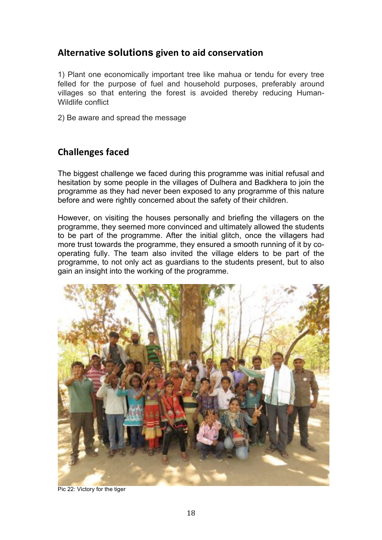#### **Alternative solutions given to aid conservation**

1) Plant one economically important tree like mahua or tendu for every tree felled for the purpose of fuel and household purposes, preferably around villages so that entering the forest is avoided thereby reducing Human-Wildlife conflict

2) Be aware and spread the message

#### **Challenges faced**

The biggest challenge we faced during this programme was initial refusal and hesitation by some people in the villages of Dulhera and Badkhera to join the programme as they had never been exposed to any programme of this nature before and were rightly concerned about the safety of their children.

However, on visiting the houses personally and briefing the villagers on the programme, they seemed more convinced and ultimately allowed the students to be part of the programme. After the initial glitch, once the villagers had more trust towards the programme, they ensured a smooth running of it by cooperating fully. The team also invited the village elders to be part of the programme, to not only act as guardians to the students present, but to also gain an insight into the working of the programme.



Pic 22: Victory for the tiger